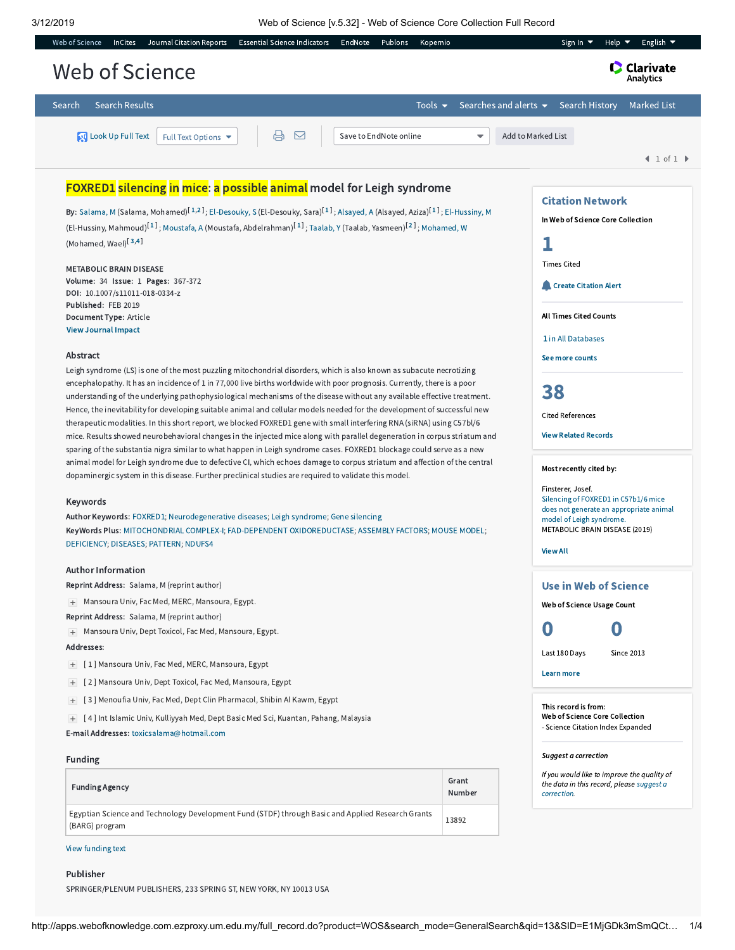L

| <b>Search Results</b><br>Search<br>Tools $\blacktriangledown$                                                                                                                                                                                                                                                                                                                                                                                                                                                                                                                                                                                                                                                                                                                                                                                                                                                                                                                                                                                                                                                                                                                                                                                                                                                                                                                                                                                                                                                                                                                                                                                                                                                                                                                                                                                                                                                                                                                                                                                                                                                                                                                                                                                                                          | Searches and alerts $\blacktriangleright$ | <b>Marked List</b><br><b>Search History</b>                                                                                                                                                                                                                                                                                                                                                                                                                                                                                                                                                         |
|----------------------------------------------------------------------------------------------------------------------------------------------------------------------------------------------------------------------------------------------------------------------------------------------------------------------------------------------------------------------------------------------------------------------------------------------------------------------------------------------------------------------------------------------------------------------------------------------------------------------------------------------------------------------------------------------------------------------------------------------------------------------------------------------------------------------------------------------------------------------------------------------------------------------------------------------------------------------------------------------------------------------------------------------------------------------------------------------------------------------------------------------------------------------------------------------------------------------------------------------------------------------------------------------------------------------------------------------------------------------------------------------------------------------------------------------------------------------------------------------------------------------------------------------------------------------------------------------------------------------------------------------------------------------------------------------------------------------------------------------------------------------------------------------------------------------------------------------------------------------------------------------------------------------------------------------------------------------------------------------------------------------------------------------------------------------------------------------------------------------------------------------------------------------------------------------------------------------------------------------------------------------------------------|-------------------------------------------|-----------------------------------------------------------------------------------------------------------------------------------------------------------------------------------------------------------------------------------------------------------------------------------------------------------------------------------------------------------------------------------------------------------------------------------------------------------------------------------------------------------------------------------------------------------------------------------------------------|
| ₿<br>Look Up Full Text<br>Save to EndNote online<br>Full Text Options ▼<br>⊠                                                                                                                                                                                                                                                                                                                                                                                                                                                                                                                                                                                                                                                                                                                                                                                                                                                                                                                                                                                                                                                                                                                                                                                                                                                                                                                                                                                                                                                                                                                                                                                                                                                                                                                                                                                                                                                                                                                                                                                                                                                                                                                                                                                                           | ▼                                         | Add to Marked List<br>$\textbf{1}$ of $\textbf{1}$                                                                                                                                                                                                                                                                                                                                                                                                                                                                                                                                                  |
| FOXRED1 silencing in mice: a possible animal model for Leigh syndrome<br>By: Salama, M (Salama, Mohamed) <sup>[1,2]</sup> ; El-Desouky, S (El-Desouky, Sara) <sup>[1]</sup> ; Alsayed, A (Alsayed, Aziza) <sup>[1]</sup> ; El-Hussiny, M<br>(El-Hussiny, Mahmoud) <sup>[1]</sup> ; Moustafa, A (Moustafa, Abdelrahman) <sup>[1]</sup> ; Taalab, Y (Taalab, Yasmeen) <sup>[2]</sup> ; Mohamed, W<br>(Mohamed, Wael) <sup>[3,4]</sup><br><b>METABOLIC BRAIN DISEASE</b><br>Volume: 34 Issue: 1 Pages: 367-372<br>DOI: 10.1007/s11011-018-0334-z<br>Published: FEB 2019<br>Document Type: Article<br><b>View Journal Impact</b><br>Abstract<br>Leigh syndrome (LS) is one of the most puzzling mitochondrial disorders, which is also known as subacute necrotizing<br>encephalopathy. It has an incidence of 1 in 77,000 live births worldwide with poor prognosis. Currently, there is a poor<br>understanding of the underlying pathophysiological mechanisms of the disease without any available effective treatment.<br>Hence, the inevitability for developing suitable animal and cellular models needed for the development of successful new<br>therapeutic modalities. In this short report, we blocked FOXRED1 gene with small interfering RNA (siRNA) using C57bl/6<br>mice. Results showed neurobehavioral changes in the injected mice along with parallel degeneration in corpus striatum and<br>sparing of the substantia nigra similar to what happen in Leigh syndrome cases. FOXRED1 blockage could serve as a new<br>animal model for Leigh syndrome due to defective CI, which echoes damage to corpus striatum and affection of the central<br>dopaminergic system in this disease. Further preclinical studies are required to validate this model.<br>Keywords<br>Author Keywords: FOXRED1; Neurodegenerative diseases; Leigh syndrome; Gene silencing<br>KeyWords Plus: MITOCHONDRIAL COMPLEX-I; FAD-DEPENDENT OXIDOREDUCTASE; ASSEMBLY FACTORS; MOUSE MODEL;<br>DEFICIENCY; DISEASES; PATTERN; NDUFS4<br><b>Author Information</b><br>Reprint Address: Salama, M (reprint author)<br>+ Mansoura Univ, Fac Med, MERC, Mansoura, Egypt.<br>Reprint Address: Salama, M (reprint author)<br>+ Mansoura Univ, Dept Toxicol, Fac Med, Mansoura, Egypt.<br>Addresses: |                                           | <b>Citation Network</b><br>In Web of Science Core Collection<br>1<br><b>Times Cited</b><br><b>Create Citation Alert</b><br><b>All Times Cited Counts</b><br>1 in All Databases<br>See more counts<br>38<br><b>Cited References</b><br><b>View Related Records</b><br>Most recently cited by:<br>Finsterer, Josef.<br>Silencing of FOXRED1 in C57b1/6 mice<br>does not generate an appropriate animal<br>model of Leigh syndrome.<br>METABOLIC BRAIN DISEASE (2019)<br><b>View All</b><br><b>Use in Web of Science</b><br>Web of Science Usage Count<br>O<br>O<br>Last 180 Days<br><b>Since 2013</b> |
| [1] Mansoura Univ, Fac Med, MERC, Mansoura, Egypt<br>$+$<br>[2] Mansoura Univ, Dept Toxicol, Fac Med, Mansoura, Egypt<br>$+$                                                                                                                                                                                                                                                                                                                                                                                                                                                                                                                                                                                                                                                                                                                                                                                                                                                                                                                                                                                                                                                                                                                                                                                                                                                                                                                                                                                                                                                                                                                                                                                                                                                                                                                                                                                                                                                                                                                                                                                                                                                                                                                                                           |                                           | <b>Learn more</b>                                                                                                                                                                                                                                                                                                                                                                                                                                                                                                                                                                                   |
| [3] Menoufia Univ, Fac Med, Dept Clin Pharmacol, Shibin Al Kawm, Egypt<br>$\qquad \qquad +$<br>[4] Int Islamic Univ, Kulliyyah Med, Dept Basic Med Sci, Kuantan, Pahang, Malaysia<br>E-mail Addresses: toxicsalama@hotmail.com                                                                                                                                                                                                                                                                                                                                                                                                                                                                                                                                                                                                                                                                                                                                                                                                                                                                                                                                                                                                                                                                                                                                                                                                                                                                                                                                                                                                                                                                                                                                                                                                                                                                                                                                                                                                                                                                                                                                                                                                                                                         |                                           | This record is from:<br>Web of Science Core Collection<br>- Science Citation Index Expanded                                                                                                                                                                                                                                                                                                                                                                                                                                                                                                         |
| Funding                                                                                                                                                                                                                                                                                                                                                                                                                                                                                                                                                                                                                                                                                                                                                                                                                                                                                                                                                                                                                                                                                                                                                                                                                                                                                                                                                                                                                                                                                                                                                                                                                                                                                                                                                                                                                                                                                                                                                                                                                                                                                                                                                                                                                                                                                |                                           | Suggest a correction                                                                                                                                                                                                                                                                                                                                                                                                                                                                                                                                                                                |
| <b>Funding Agency</b>                                                                                                                                                                                                                                                                                                                                                                                                                                                                                                                                                                                                                                                                                                                                                                                                                                                                                                                                                                                                                                                                                                                                                                                                                                                                                                                                                                                                                                                                                                                                                                                                                                                                                                                                                                                                                                                                                                                                                                                                                                                                                                                                                                                                                                                                  | Grant<br>Number                           | If you would like to improve the quality of<br>the data in this record, please suggest a<br>correction.                                                                                                                                                                                                                                                                                                                                                                                                                                                                                             |
| Egyptian Science and Technology Development Fund (STDF) through Basic and Applied Research Grants                                                                                                                                                                                                                                                                                                                                                                                                                                                                                                                                                                                                                                                                                                                                                                                                                                                                                                                                                                                                                                                                                                                                                                                                                                                                                                                                                                                                                                                                                                                                                                                                                                                                                                                                                                                                                                                                                                                                                                                                                                                                                                                                                                                      | 13892                                     |                                                                                                                                                                                                                                                                                                                                                                                                                                                                                                                                                                                                     |